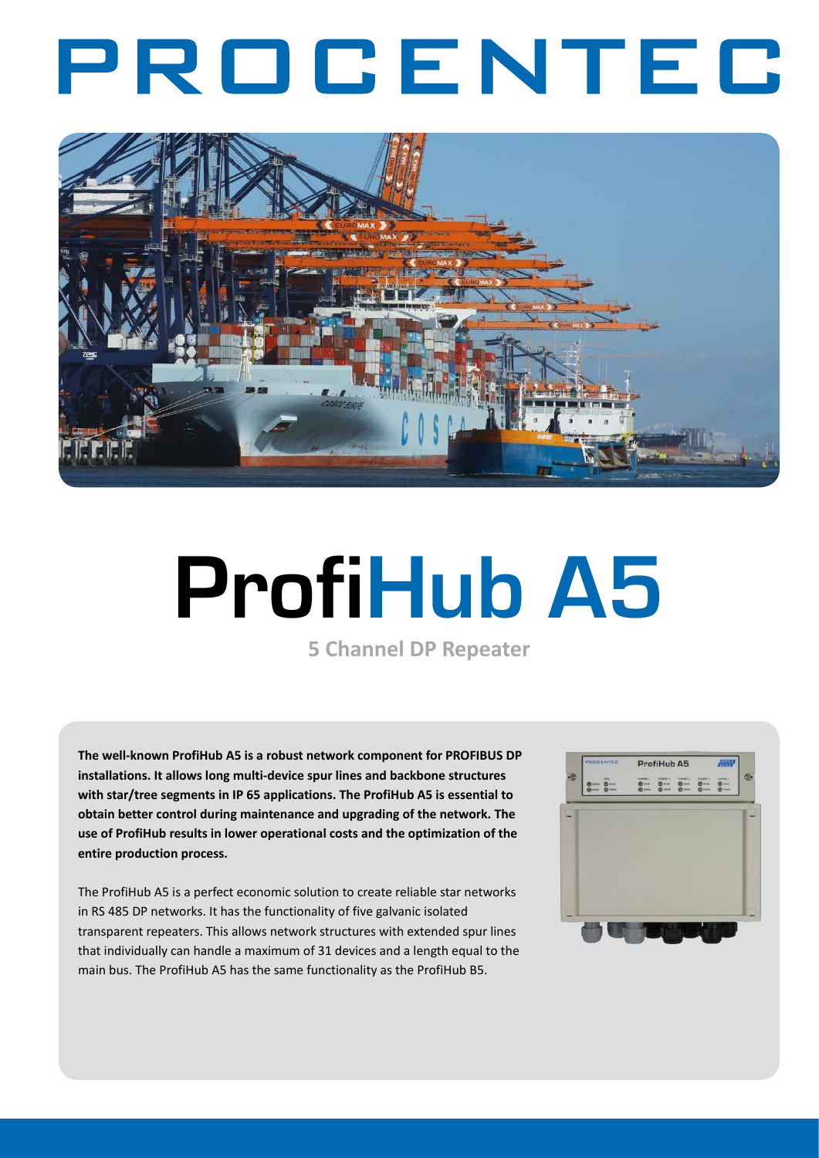## PROCENTEC



# **ProfiHub A5**

**5 Channel DP Repeater**

**The well-known ProfiHub A5 is a robust network component for PROFIBUS DP installations. It allows long multi-device spur lines and backbone structures with star/tree segments in IP 65 applications. The ProfiHub A5 is essential to obtain better control during maintenance and upgrading of the network. The use of ProfiHub results in lower operational costs and the optimization of the entire production process.**

The ProfiHub A5 is a perfect economic solution to create reliable star networks in RS 485 DP networks. It has the functionality of five galvanic isolated transparent repeaters. This allows network structures with extended spur lines that individually can handle a maximum of 31 devices and a length equal to the main bus. The ProfiHub A5 has the same functionality as the ProfiHub B5.